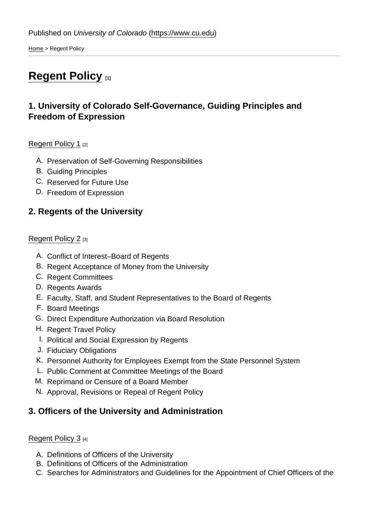[Home](https://www.cu.edu/) > Regent Policy

# [Regent Policy](https://www.cu.edu/regents/regent-policy-0) [1]

# 1. University of Colorado Self-Governance, Guiding Principles and Freedom of Expression

## [Regent Policy 1](https://www.cu.edu/regents/policy/1) [2]

- A. Preservation of Self-Governing Responsibilities
- B. Guiding Principles
- C. Reserved for Future Use
- D. Freedom of Expression
- 2. Regents of the University

## [Regent Policy 2](https://www.cu.edu/regents/policy/2) [3]

- A. Conflict of Interest–Board of Regents
- B. Regent Acceptance of Money from the University
- C. Regent Committees
- D. Regents Awards
- E. Faculty, Staff, and Student Representatives to the Board of Regents
- F. Board Meetings
- G. Direct Expenditure Authorization via Board Resolution
- H. Regent Travel Policy
- I. Political and Social Expression by Regents
- J. Fiduciary Obligations
- K. Personnel Authority for Employees Exempt from the State Personnel System
- L. Public Comment at Committee Meetings of the Board
- M. Reprimand or Censure of a Board Member
- N. Approval, Revisions or Repeal of Regent Policy
- 3. Officers of the University and Administration

## [Regent Policy 3](https://www.cu.edu/regents/policy/3) [4]

- A. Definitions of Officers of the University
- B. Definitions of Officers of the Administration
- C. Searches for Administrators and Guidelines for the Appointment of Chief Officers of the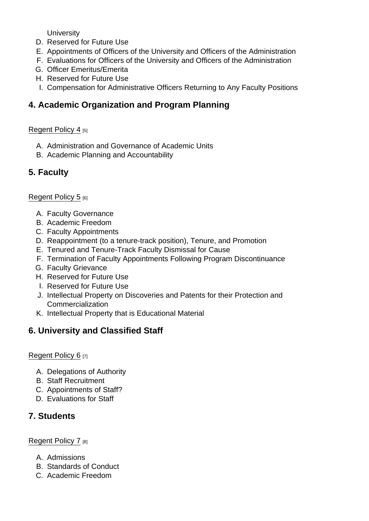**University** 

- D. Reserved for Future Use
- E. Appointments of Officers of the University and Officers of the Administration
- F. Evaluations for Officers of the University and Officers of the Administration
- G. Officer Emeritus/Emerita
- H. Reserved for Future Use
- I. Compensation for Administrative Officers Returning to Any Faculty Positions
- 4. Academic Organization and Program Planning

## [Regent Policy 4](https://www.cu.edu/regents/policy/4) [5]

- A. Administration and Governance of Academic Units
- B. Academic Planning and Accountability
- 5. Faculty

## [Regent Policy 5](https://www.cu.edu/regents/policy/5) [6]

- A. Faculty Governance
- B. Academic Freedom
- C. Faculty Appointments
- D. Reappointment (to a tenure-track position), Tenure, and Promotion
- E. Tenured and Tenure-Track Faculty Dismissal for Cause
- F. Termination of Faculty Appointments Following Program Discontinuance
- G. Faculty Grievance
- H. Reserved for Future Use
- I. Reserved for Future Use
- J. Intellectual Property on Discoveries and Patents for their Protection and **Commercialization**
- K. Intellectual Property that is Educational Material
- 6. University and Classified Staff

## [Regent Policy 6](https://www.cu.edu/regents/policy/6) [7]

- A. Delegations of Authority
- B. Staff Recruitment
- C. Appointments of Staff?
- D. Evaluations for Staff
- 7. Students

## [Regent Policy 7](https://www.cu.edu/regents/policy/7) [8]

- A. Admissions
- B. Standards of Conduct
- C. Academic Freedom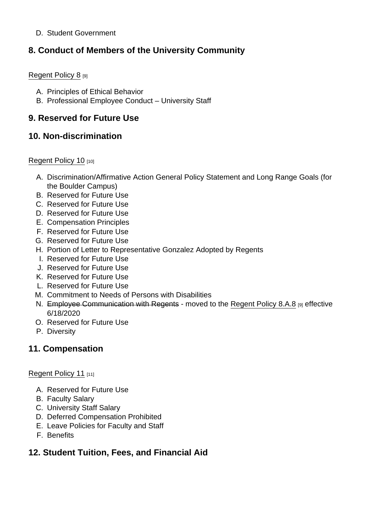## D. Student Government

## 8. Conduct of Members of the University Community

## [Regent Policy 8](https://www.cu.edu/regents/policy/8) [9]

- A. Principles of Ethical Behavior
- B. Professional Employee Conduct University Staff

## 9. Reserved for Future Use

## 10. Non-discrimination

## [Regent Policy 10](https://www.cu.edu/regents/policy/10) [10]

- A. Discrimination/Affirmative Action General Policy Statement and Long Range Goals (for the Boulder Campus)
- B. Reserved for Future Use
- C. Reserved for Future Use
- D. Reserved for Future Use
- E. Compensation Principles
- F. Reserved for Future Use
- G. Reserved for Future Use
- H. Portion of Letter to Representative Gonzalez Adopted by Regents
- I. Reserved for Future Use
- J. Reserved for Future Use
- K. Reserved for Future Use
- L. Reserved for Future Use
- M. Commitment to Needs of Persons with Disabilities
- N. Employee Communication with Regents moved to the [Regent Policy 8.A.8](https://www.cu.edu/regents/policy/8) [9] effective 6/18/2020
- O. Reserved for Future Use
- P. Diversity

## 11. Compensation

## [Regent Policy 11](https://www.cu.edu/regents/policy/11) [11]

- A. Reserved for Future Use
- B. Faculty Salary
- C. University Staff Salary
- D. Deferred Compensation Prohibited
- E. Leave Policies for Faculty and Staff
- F. Benefits
- 12. Student Tuition, Fees, and Financial Aid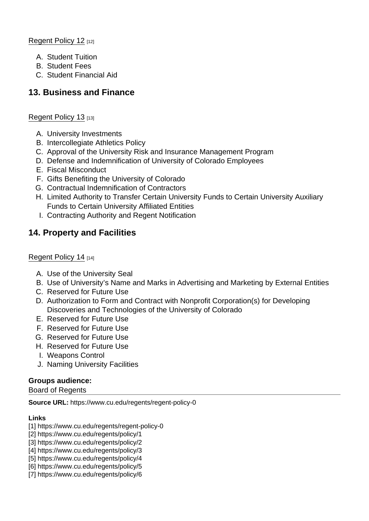[Regent Policy 12](https://www.cu.edu/regents/policy/12) [12]

- A. Student Tuition
- B. Student Fees
- C. Student Financial Aid

## 13. Business and Finance

## [Regent Policy 13](https://www.cu.edu/regents/policy/13) [13]

- A. University Investments
- B. Intercollegiate Athletics Policy
- C. Approval of the University Risk and Insurance Management Program
- D. Defense and Indemnification of University of Colorado Employees
- E. Fiscal Misconduct
- F. Gifts Benefiting the University of Colorado
- G. Contractual Indemnification of Contractors
- H. Limited Authority to Transfer Certain University Funds to Certain University Auxiliary Funds to Certain University Affiliated Entities
- I. Contracting Authority and Regent Notification

## 14. Property and Facilities

## [Regent Policy 14](https://www.cu.edu/regents/policy/14) [14]

- A. Use of the University Seal
- B. Use of University's Name and Marks in Advertising and Marketing by External Entities
- C. Reserved for Future Use
- D. Authorization to Form and Contract with Nonprofit Corporation(s) for Developing Discoveries and Technologies of the University of Colorado
- E. Reserved for Future Use
- F. Reserved for Future Use
- G. Reserved for Future Use
- H. Reserved for Future Use
- I. Weapons Control
- J. Naming University Facilities

#### Groups audience: Board of Regents

Source URL: https://www.cu.edu/regents/regent-policy-0

Links

- [1] https://www.cu.edu/regents/regent-policy-0
- [2] https://www.cu.edu/regents/policy/1
- [3] https://www.cu.edu/regents/policy/2
- [4] https://www.cu.edu/regents/policy/3
- [5] https://www.cu.edu/regents/policy/4
- [6] https://www.cu.edu/regents/policy/5
- [7] https://www.cu.edu/regents/policy/6